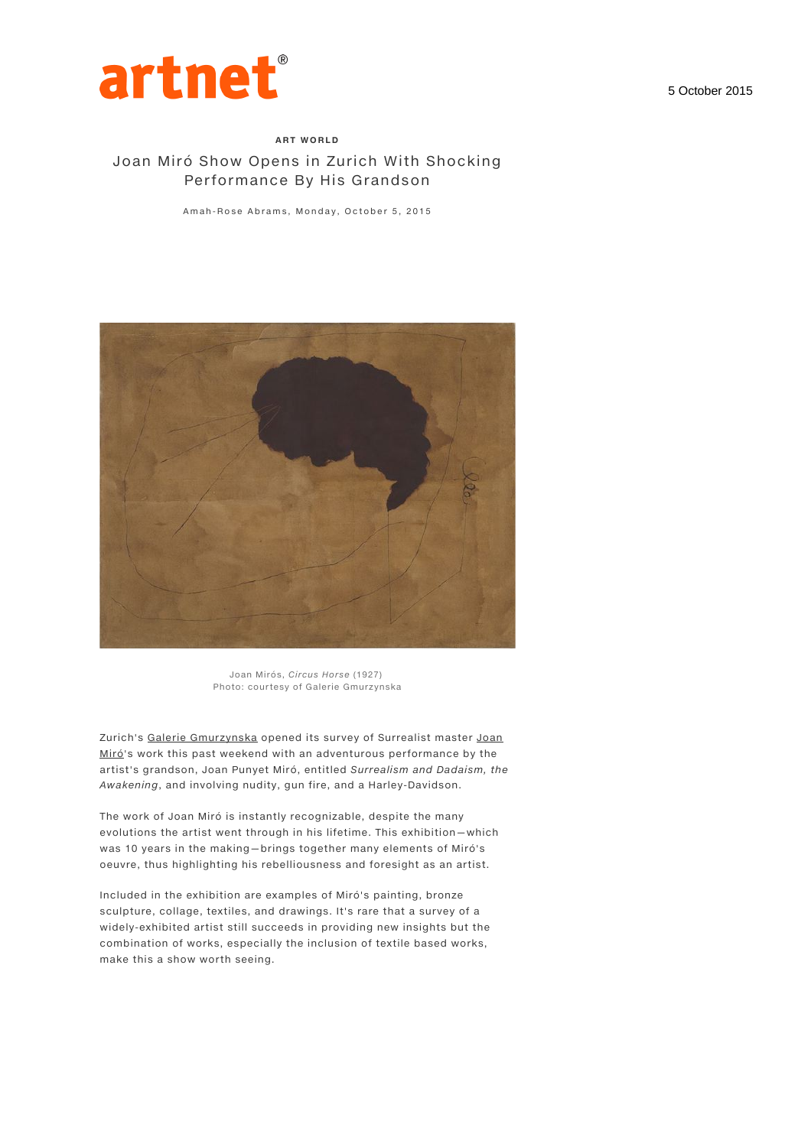

## ART WORLD Joan Miró Show Opens in Zurich With Shocking Performance By His Grandson

Amah-Rose Abrams, Monday, October 5, 2015



Joan Mirós, Circus Horse (1927) Photo: courtesy of Galerie Gmurzynska

Zurich's Galerie Gmurzynska opened its survey of Surrealist master Joan Miró's work this past weekend with an adventurous performance by the artist's grandson, Joan Punyet Miró, entitled Surrealism and Dadaism, the Awakening, and involving nudity, gun fire, and a Harley-Davidson.

The work of Joan Miró is instantly recognizable, despite the many evolutions the artist went through in his lifetime. This exhibition—which was 10 years in the making—brings together many elements of Miró's oeuvre, thus highlighting his rebelliousness and foresight as an artist.

Included in the exhibition are examples of Miró's painting, bronze sculpture, collage, textiles, and drawings. It's rare that a survey of a widely-exhibited artist still succeeds in providing new insights but the combination of works, especially the inclusion of textile based works, make this a show worth seeing.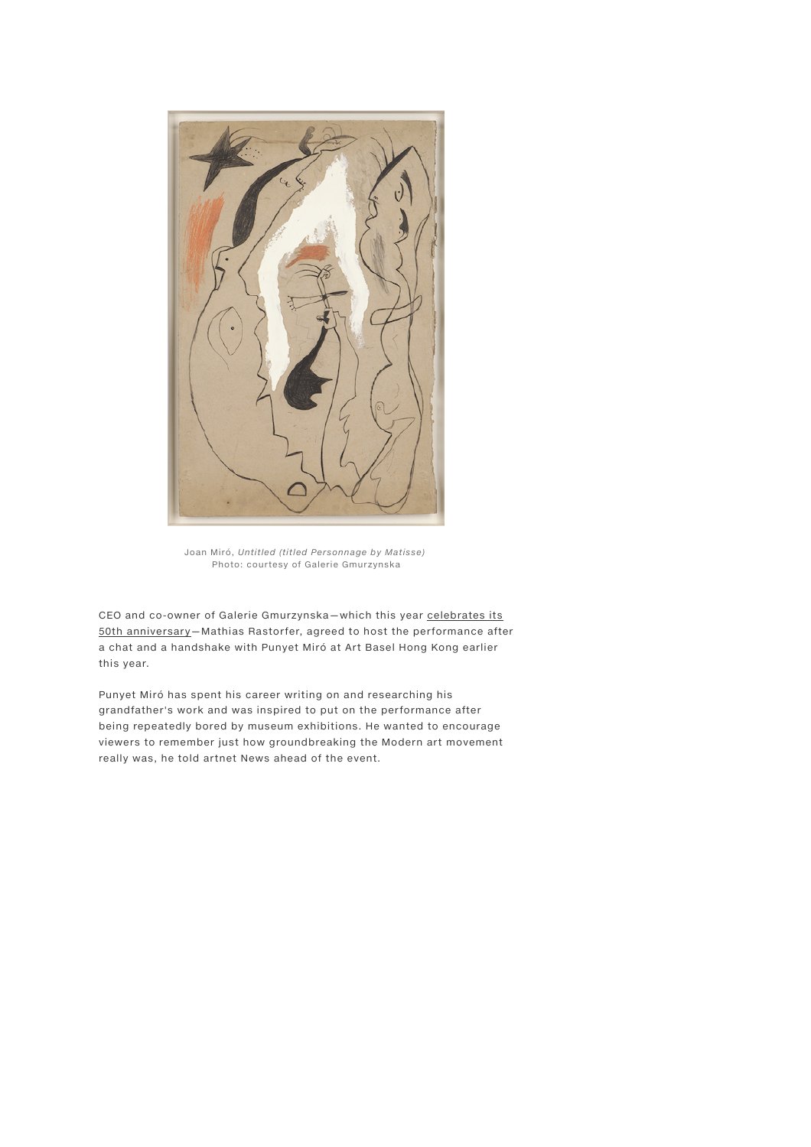

Joan Miró, Untitled (titled Personnage by Matisse) Photo: courtesy of Galerie Gmurzynska

CEO and co-owner of Galerie Gmurzynska—which this year celebrates its 50th anniversary—Mathias Rastorfer, agreed to host the performance after a chat and a handshake with Punyet Miró at Art Basel Hong Kong earlier this year.

Punyet Miró has spent his career writing on and researching his grandfather's work and was inspired to put on the performance after being repeatedly bored by museum exhibitions. He wanted to encourage viewers to remember just how groundbreaking the Modern art movement really was, he told artnet News ahead of the event.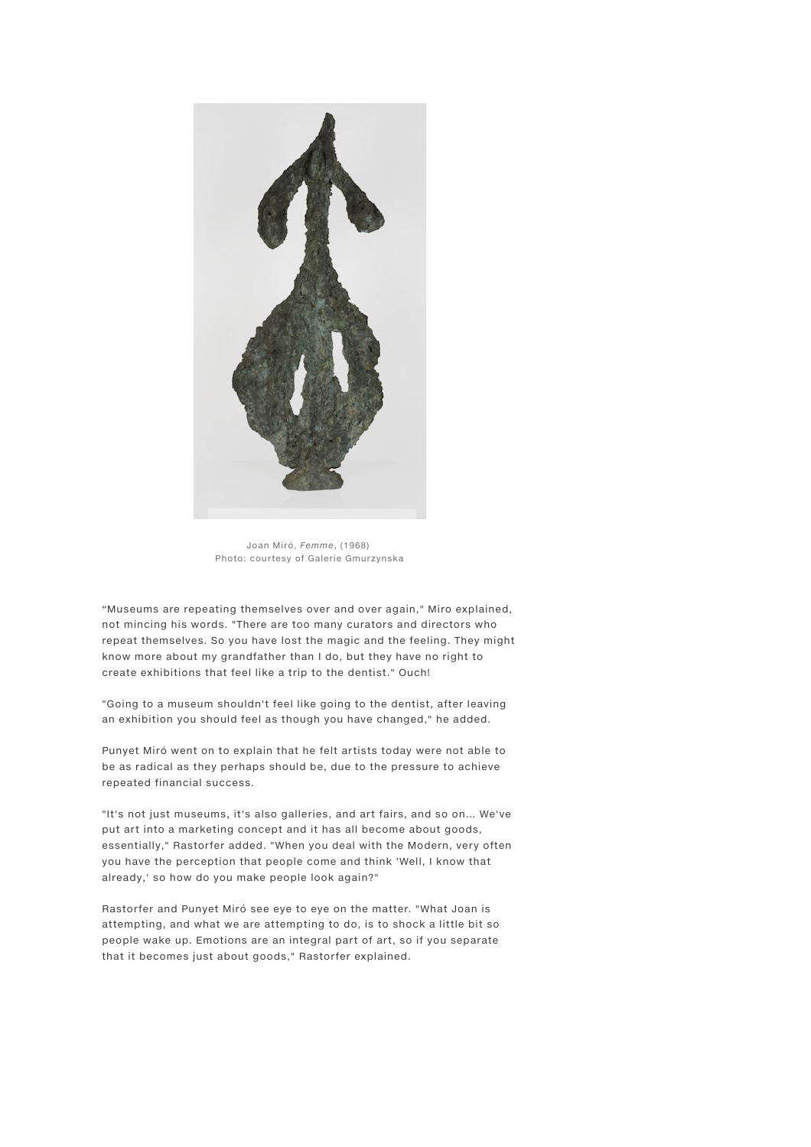

Joan Miró, Femme, (1968) Photo: courtesy of Galerie Gmurzynska

"Museums are repeating themselves over and over again," Miro explained, not mincing his words. "There are too many curators and directors who repeat themselves. So you have lost the magic and the feeling. They might know more about my grandfather than I do, but they have no right to create exhibitions that feel like a trip to the dentist." Ouch!

"Going to a museum shouldn't feel like going to the dentist, after leaving an exhibition you should feel as though you have changed," he added.

Punyet Miró went on to explain that he felt artists today were not able to be as radical as they perhaps should be, due to the pressure to achieve repeated financial success.

"It's not just museums, it's also galleries, and art fairs, and so on… We've put art into a marketing concept and it has all become about goods, essentially," Rastorfer added. "When you deal with the Modern, very often you have the perception that people come and think 'Well, I know that already,' so how do you make people look again?"

Rastorfer and Punyet Miró see eye to eye on the matter. "What Joan is attempting, and what we are attempting to do, is to shock a little bit so people wake up. Emotions are an integral part of art, so if you separate that it becomes just about goods," Rastorfer explained.